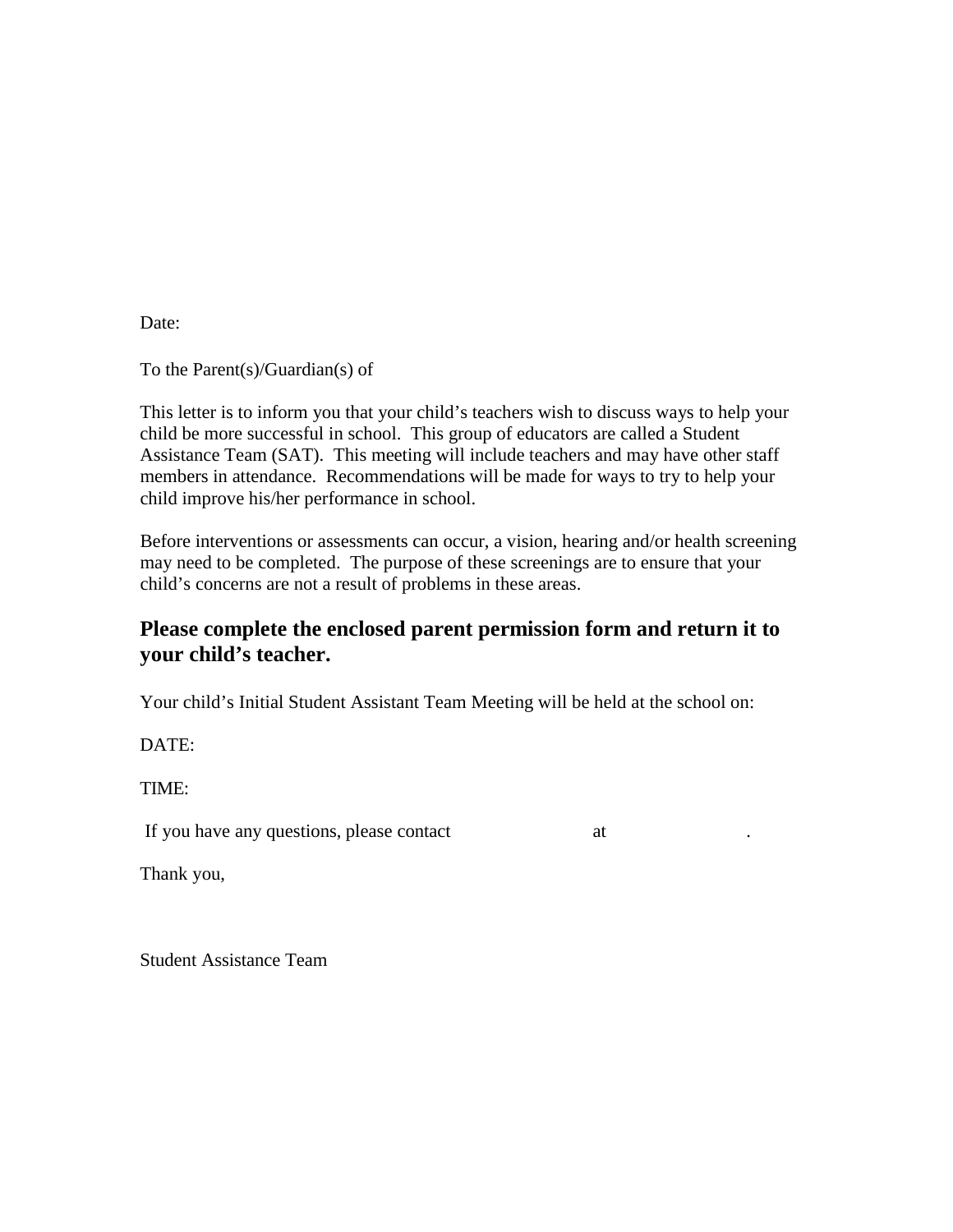Date:

To the Parent(s)/Guardian(s) of

This letter is to inform you that your child's teachers wish to discuss ways to help your child be more successful in school. This group of educators are called a Student Assistance Team (SAT). This meeting will include teachers and may have other staff members in attendance. Recommendations will be made for ways to try to help your child improve his/her performance in school.

Before interventions or assessments can occur, a vision, hearing and/or health screening may need to be completed. The purpose of these screenings are to ensure that your child's concerns are not a result of problems in these areas.

## **Please complete the enclosed parent permission form and return it to your child's teacher.**

Your child's Initial Student Assistant Team Meeting will be held at the school on:

DATE:

TIME:

If you have any questions, please contact at . The at . The same  $\alpha$  at . The same  $\alpha$ 

Thank you,

Student Assistance Team